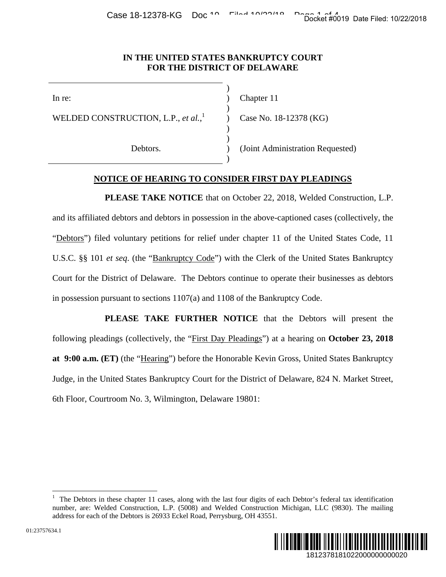Case 18-12378-KG Doc<sup>10</sup> Filed 10/20/19 Page 10/19 Date Filed: 10/22/2018

## **IN THE UNITED STATES BANKRUPTCY COURT FOR THE DISTRICT OF DELAWARE**

 ) )

In re: (a) Chapter 11

WELDED CONSTRUCTION, L.P., *et al.*, 1

 $)$ 

 $)$ 

 $)$ 

 $)$ 

Case No. 18-12378 (KG)

Debtors. (Joint Administration Requested)

## **NOTICE OF HEARING TO CONSIDER FIRST DAY PLEADINGS**

**PLEASE TAKE NOTICE** that on October 22, 2018, Welded Construction, L.P. and its affiliated debtors and debtors in possession in the above-captioned cases (collectively, the "Debtors") filed voluntary petitions for relief under chapter 11 of the United States Code, 11 U.S.C. §§ 101 *et seq*. (the "Bankruptcy Code") with the Clerk of the United States Bankruptcy Court for the District of Delaware. The Debtors continue to operate their businesses as debtors in possession pursuant to sections 1107(a) and 1108 of the Bankruptcy Code. Docket #0019 Date Filed: 10/22/2018<br>
URT<br>
URT<br>
S (KG)<br>
ion Requested)<br>
Velded Construction, L.P.<br>
ed cases (collectively, the<br>
belied States Code, 11<br>
Jnited States Bankruptcy<br>
eir businesses as debtors<br>
Code.<br>
ebtors wil

**PLEASE TAKE FURTHER NOTICE** that the Debtors will present the following pleadings (collectively, the "First Day Pleadings") at a hearing on **October 23, 2018 at 9:00 a.m. (ET)** (the "Hearing") before the Honorable Kevin Gross, United States Bankruptcy Judge, in the United States Bankruptcy Court for the District of Delaware, 824 N. Market Street, 6th Floor, Courtroom No. 3, Wilmington, Delaware 19801:

<sup>1</sup> The Debtors in these chapter 11 cases, along with the last four digits of each Debtor's federal tax identification number, are: Welded Construction, L.P. (5008) and Welded Construction Michigan, LLC (9830). The mailing address for each of the Debtors is 26933 Eckel Road, Perrysburg, OH 43551.



1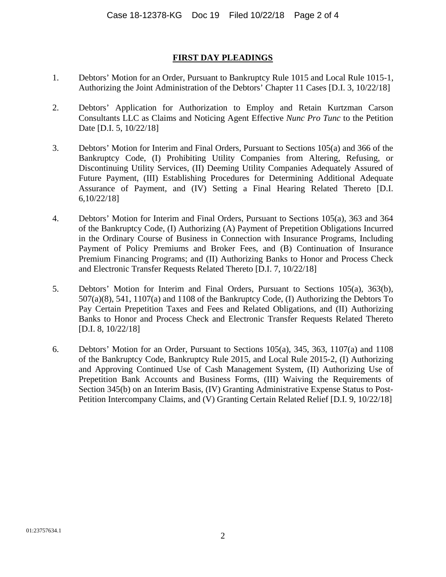## **FIRST DAY PLEADINGS**

- 1. Debtors' Motion for an Order, Pursuant to Bankruptcy Rule 1015 and Local Rule 1015-1, Authorizing the Joint Administration of the Debtors' Chapter 11 Cases [D.I. 3, 10/22/18]
- 2. Debtors' Application for Authorization to Employ and Retain Kurtzman Carson Consultants LLC as Claims and Noticing Agent Effective *Nunc Pro Tunc* to the Petition Date [D.I. 5, 10/22/18]
- 3. Debtors' Motion for Interim and Final Orders, Pursuant to Sections 105(a) and 366 of the Bankruptcy Code, (I) Prohibiting Utility Companies from Altering, Refusing, or Discontinuing Utility Services, (II) Deeming Utility Companies Adequately Assured of Future Payment, (III) Establishing Procedures for Determining Additional Adequate Assurance of Payment, and (IV) Setting a Final Hearing Related Thereto [D.I. 6,10/22/18]
- 4. Debtors' Motion for Interim and Final Orders, Pursuant to Sections 105(a), 363 and 364 of the Bankruptcy Code, (I) Authorizing (A) Payment of Prepetition Obligations Incurred in the Ordinary Course of Business in Connection with Insurance Programs, Including Payment of Policy Premiums and Broker Fees, and (B) Continuation of Insurance Premium Financing Programs; and (II) Authorizing Banks to Honor and Process Check and Electronic Transfer Requests Related Thereto [D.I. 7, 10/22/18]
- 5. Debtors' Motion for Interim and Final Orders, Pursuant to Sections 105(a), 363(b), 507(a)(8), 541, 1107(a) and 1108 of the Bankruptcy Code, (I) Authorizing the Debtors To Pay Certain Prepetition Taxes and Fees and Related Obligations, and (II) Authorizing Banks to Honor and Process Check and Electronic Transfer Requests Related Thereto [D.I. 8, 10/22/18]
- 6. Debtors' Motion for an Order, Pursuant to Sections 105(a), 345, 363, 1107(a) and 1108 of the Bankruptcy Code, Bankruptcy Rule 2015, and Local Rule 2015-2, (I) Authorizing and Approving Continued Use of Cash Management System, (II) Authorizing Use of Prepetition Bank Accounts and Business Forms, (III) Waiving the Requirements of Section 345(b) on an Interim Basis, (IV) Granting Administrative Expense Status to Post-Petition Intercompany Claims, and (V) Granting Certain Related Relief [D.I. 9, 10/22/18]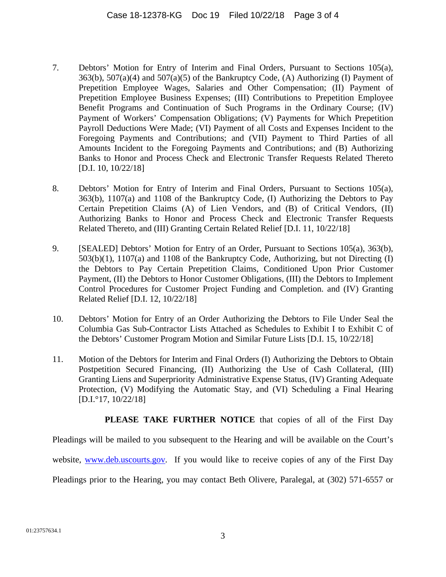- 7. Debtors' Motion for Entry of Interim and Final Orders, Pursuant to Sections 105(a),  $363(b)$ ,  $507(a)(4)$  and  $507(a)(5)$  of the Bankruptcy Code, (A) Authorizing (I) Payment of Prepetition Employee Wages, Salaries and Other Compensation; (II) Payment of Prepetition Employee Business Expenses; (III) Contributions to Prepetition Employee Benefit Programs and Continuation of Such Programs in the Ordinary Course; (IV) Payment of Workers' Compensation Obligations; (V) Payments for Which Prepetition Payroll Deductions Were Made; (VI) Payment of all Costs and Expenses Incident to the Foregoing Payments and Contributions; and (VII) Payment to Third Parties of all Amounts Incident to the Foregoing Payments and Contributions; and (B) Authorizing Banks to Honor and Process Check and Electronic Transfer Requests Related Thereto [D.I. 10, 10/22/18]
- 8. Debtors' Motion for Entry of Interim and Final Orders, Pursuant to Sections 105(a), 363(b), 1107(a) and 1108 of the Bankruptcy Code, (I) Authorizing the Debtors to Pay Certain Prepetition Claims (A) of Lien Vendors, and (B) of Critical Vendors, (II) Authorizing Banks to Honor and Process Check and Electronic Transfer Requests Related Thereto, and (III) Granting Certain Related Relief [D.I. 11, 10/22/18]
- 9. [SEALED] Debtors' Motion for Entry of an Order, Pursuant to Sections 105(a), 363(b), 503(b)(1), 1107(a) and 1108 of the Bankruptcy Code, Authorizing, but not Directing (I) the Debtors to Pay Certain Prepetition Claims, Conditioned Upon Prior Customer Payment, (II) the Debtors to Honor Customer Obligations, (III) the Debtors to Implement Control Procedures for Customer Project Funding and Completion. and (IV) Granting Related Relief [D.I. 12, 10/22/18]
- 10. Debtors' Motion for Entry of an Order Authorizing the Debtors to File Under Seal the Columbia Gas Sub-Contractor Lists Attached as Schedules to Exhibit I to Exhibit C of the Debtors' Customer Program Motion and Similar Future Lists [D.I. 15, 10/22/18]
- 11. Motion of the Debtors for Interim and Final Orders (I) Authorizing the Debtors to Obtain Postpetition Secured Financing, (II) Authorizing the Use of Cash Collateral, (III) Granting Liens and Superpriority Administrative Expense Status, (IV) Granting Adequate Protection, (V) Modifying the Automatic Stay, and (VI) Scheduling a Final Hearing [D.I.°17, 10/22/18]

**PLEASE TAKE FURTHER NOTICE** that copies of all of the First Day

Pleadings will be mailed to you subsequent to the Hearing and will be available on the Court's

website, www.deb.uscourts.gov. If you would like to receive copies of any of the First Day

Pleadings prior to the Hearing, you may contact Beth Olivere, Paralegal, at (302) 571-6557 or